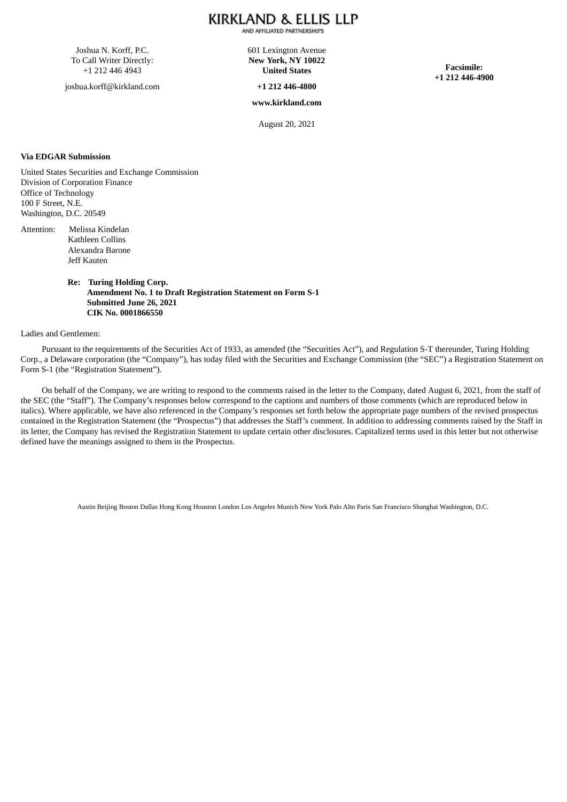### KIRKLAND & ELLIS LLP AND AFFILIATED PARTNERSHIPS

Joshua N. Korff, P.C. To Call Writer Directly: +1 212 446 4943

joshua.korff@kirkland.com

601 Lexington Avenue **New York, NY 10022 United States**

**+1 212 446-4800**

**www.kirkland.com**

**Facsimile: +1 212 446-4900**

August 20, 2021

#### **Via EDGAR Submission**

United States Securities and Exchange Commission Division of Corporation Finance Office of Technology 100 F Street, N.E. Washington, D.C. 20549

Attention: Melissa Kindelan Kathleen Collins Alexandra Barone Jeff Kauten

> **Re: Turing Holding Corp. Amendment No. 1 to Draft Registration Statement on Form S-1 Submitted June 26, 2021 CIK No. 0001866550**

#### Ladies and Gentlemen:

Pursuant to the requirements of the Securities Act of 1933, as amended (the "Securities Act"), and Regulation S-T thereunder, Turing Holding Corp., a Delaware corporation (the "Company"), has today filed with the Securities and Exchange Commission (the "SEC") a Registration Statement on Form S-1 (the "Registration Statement").

On behalf of the Company, we are writing to respond to the comments raised in the letter to the Company, dated August 6, 2021, from the staff of the SEC (the "Staff"). The Company's responses below correspond to the captions and numbers of those comments (which are reproduced below in italics). Where applicable, we have also referenced in the Company's responses set forth below the appropriate page numbers of the revised prospectus contained in the Registration Statement (the "Prospectus") that addresses the Staff's comment. In addition to addressing comments raised by the Staff in its letter, the Company has revised the Registration Statement to update certain other disclosures. Capitalized terms used in this letter but not otherwise defined have the meanings assigned to them in the Prospectus.

Austin Beijing Boston Dallas Hong Kong Houston London Los Angeles Munich New York Palo Alto Paris San Francisco Shanghai Washington, D.C.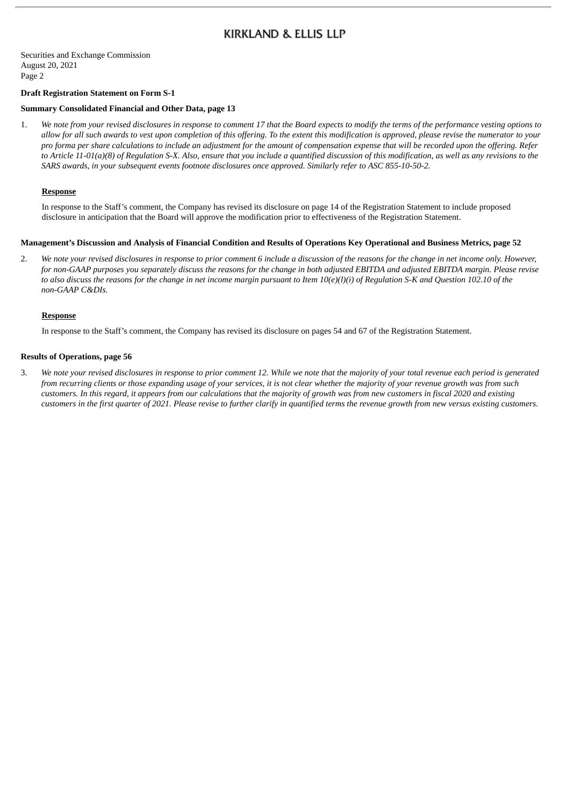Securities and Exchange Commission August 20, 2021 Page 2

### **Draft Registration Statement on Form S-1**

### **Summary Consolidated Financial and Other Data, page 13**

1. We note from your revised disclosures in response to comment 17 that the Board expects to modify the terms of the performance vesting options to allow for all such awards to vest upon completion of this offering. To the extent this modification is approved, please revise the numerator to your pro forma per share calculations to include an adjustment for the amount of compensation expense that will be recorded upon the offering. Refer to Article 11-01(a)(8) of Reaulation S-X. Also, ensure that you include a quantified discussion of this modification, as well as any revisions to the *SARS awards, in your subsequent events footnote disclosures once approved. Similarly refer to ASC 855-10-50-2.*

## **Response**

In response to the Staff's comment, the Company has revised its disclosure on page 14 of the Registration Statement to include proposed disclosure in anticipation that the Board will approve the modification prior to effectiveness of the Registration Statement.

#### Management's Discussion and Analysis of Financial Condition and Results of Operations Key Operational and Business Metrics, page 52

2. We note your revised disclosures in response to prior comment 6 include a discussion of the reasons for the change in net income only. However, for non-GAAP purposes you separately discuss the reasons for the change in both adjusted EBITDA and adjusted EBITDA margin. Please revise to also discuss the reasons for the change in net income margin pursuant to Item  $10(e)(l)(i)$  of Regulation S-K and Question 102.10 of the *non-GAAP C&DIs.*

#### **Response**

In response to the Staff's comment, the Company has revised its disclosure on pages 54 and 67 of the Registration Statement.

## **Results of Operations, page 56**

3. We note your revised disclosures in response to prior comment 12. While we note that the majority of your total revenue each period is generated from recurring clients or those expanding usage of your services, it is not clear whether the majority of your revenue growth was from such customers. In this regard, it appears from our calculations that the majority of growth was from new customers in fiscal 2020 and existing customers in the first quarter of 2021. Please revise to further clarify in quantified terms the revenue growth from new versus existing customers.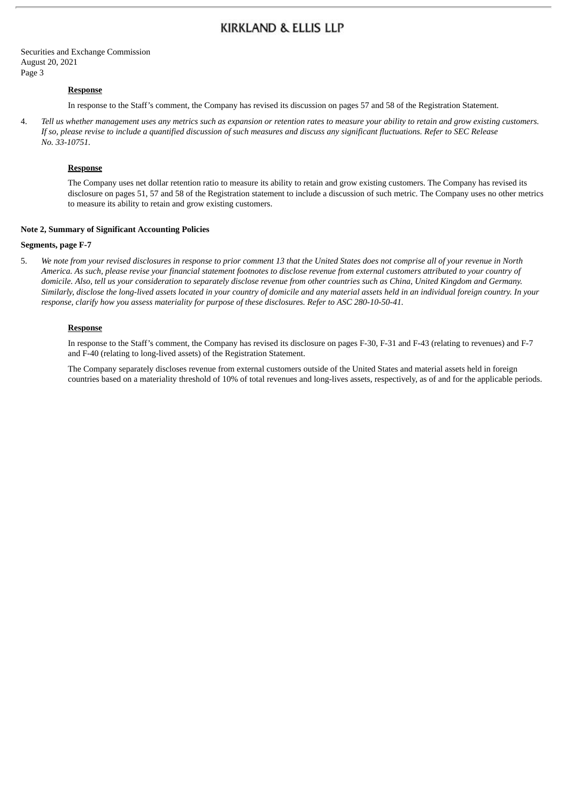Securities and Exchange Commission August 20, 2021 Page 3

### **Response**

In response to the Staff's comment, the Company has revised its discussion on pages 57 and 58 of the Registration Statement.

4. Tell us whether management uses any metrics such as expansion or retention rates to measure your ability to retain and grow existing customers. If so, please revise to include a quantified discussion of such measures and discuss any significant fluctuations. Refer to SEC Release *No. 33-10751.*

### **Response**

The Company uses net dollar retention ratio to measure its ability to retain and grow existing customers. The Company has revised its disclosure on pages 51, 57 and 58 of the Registration statement to include a discussion of such metric. The Company uses no other metrics to measure its ability to retain and grow existing customers.

#### **Note 2, Summary of Significant Accounting Policies**

#### **Segments, page F-7**

5. We note from your revised disclosures in response to prior comment 13 that the United States does not comprise all of your revenue in North America. As such, please revise your financial statement footnotes to disclose revenue from external customers attributed to your country of domicile. Also, tell us your consideration to separately disclose revenue from other countries such as China, United Kingdom and Germany. Similarly, disclose the long-lived assets located in your country of domicile and any material assets held in an individual foreign country. In your *response, clarify how you assess materiality for purpose of these disclosures. Refer to ASC 280-10-50-41.*

#### **Response**

In response to the Staff's comment, the Company has revised its disclosure on pages F-30, F-31 and F-43 (relating to revenues) and F-7 and F-40 (relating to long-lived assets) of the Registration Statement.

The Company separately discloses revenue from external customers outside of the United States and material assets held in foreign countries based on a materiality threshold of 10% of total revenues and long-lives assets, respectively, as of and for the applicable periods.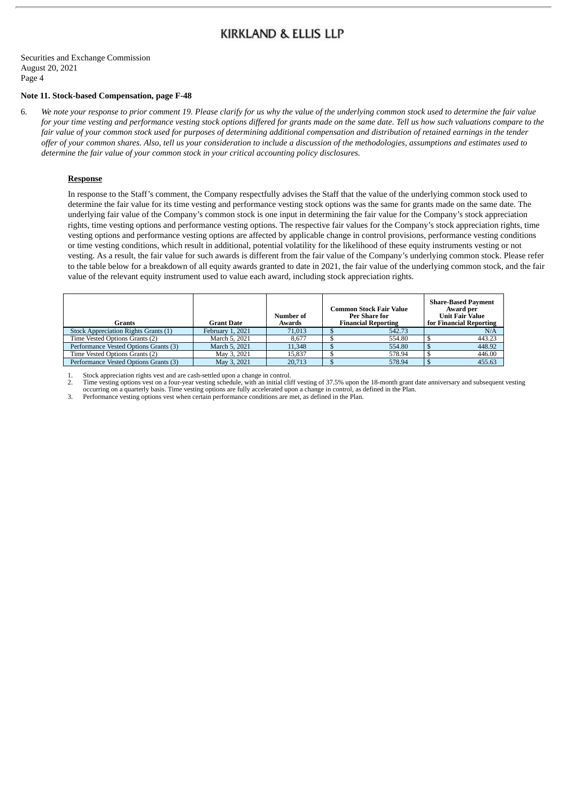Securities and Exchange Commission August 20, 2021 Page 4

#### **Note 11. Stock-based Compensation, page F-48**

6. We note your response to prior comment 19. Please clarify for us why the value of the underlying common stock used to determine the fair value for your time vesting and performance vesting stock options differed for grants made on the same date. Tell us how such valuations compare to the fair value of your common stock used for purposes of determining additional compensation and distribution of retained earnings in the tender offer of your common shares. Also, tell us your consideration to include a discussion of the methodologies, assumptions and estimates used to *determine the fair value of your common stock in your critical accounting policy disclosures.*

#### **Response**

In response to the Staff's comment, the Company respectfully advises the Staff that the value of the underlying common stock used to determine the fair value for its time vesting and performance vesting stock options was the same for grants made on the same date. The underlying fair value of the Company's common stock is one input in determining the fair value for the Company's stock appreciation rights, time vesting options and performance vesting options. The respective fair values for the Company's stock appreciation rights, time vesting options and performance vesting options are affected by applicable change in control provisions, performance vesting conditions or time vesting conditions, which result in additional, potential volatility for the likelihood of these equity instruments vesting or not vesting. As a result, the fair value for such awards is different from the fair value of the Company's underlying common stock. Please refer to the table below for a breakdown of all equity awards granted to date in 2021, the fair value of the underlying common stock, and the fair value of the relevant equity instrument used to value each award, including stock appreciation rights.

| <b>Grants</b>                         | <b>Grant Date</b> | Number of<br>Awards | <b>Common Stock Fair Value</b><br><b>Per Share for</b><br><b>Financial Reporting</b> | <b>Share-Based Payment</b><br>Award per<br><b>Unit Fair Value</b><br>for Financial Reporting |
|---------------------------------------|-------------------|---------------------|--------------------------------------------------------------------------------------|----------------------------------------------------------------------------------------------|
| Stock Appreciation Rights Grants (1)  | February 1, 2021  | 71,013              | 542.73                                                                               | N/A                                                                                          |
| Time Vested Options Grants (2)        | March 5, 2021     | 8.677               | 554.80                                                                               | 443.23                                                                                       |
| Performance Vested Options Grants (3) | March 5, 2021     | 11,348              | 554.80                                                                               | 448.92                                                                                       |
| Time Vested Options Grants (2)        | May 3, 2021       | 15.837              | 578.94                                                                               | 446.00                                                                                       |
| Performance Vested Options Grants (3) | May 3, 2021       | 20.713              | 578.94                                                                               | 455.63                                                                                       |

1. Stock appreciation rights vest and are cash-settled upon a change in control.

2. Time vesting options vest on a four-year vesting schedule, with an initial cliff vesting of 37.5% upon the 18-month grant date anniversary and subsequent vesting occurring on a quarterly basis. Time vesting options are fully accelerated upon a change in control, as defined in the Plan.

3. Performance vesting options vest when certain performance conditions are met, as defined in the Plan.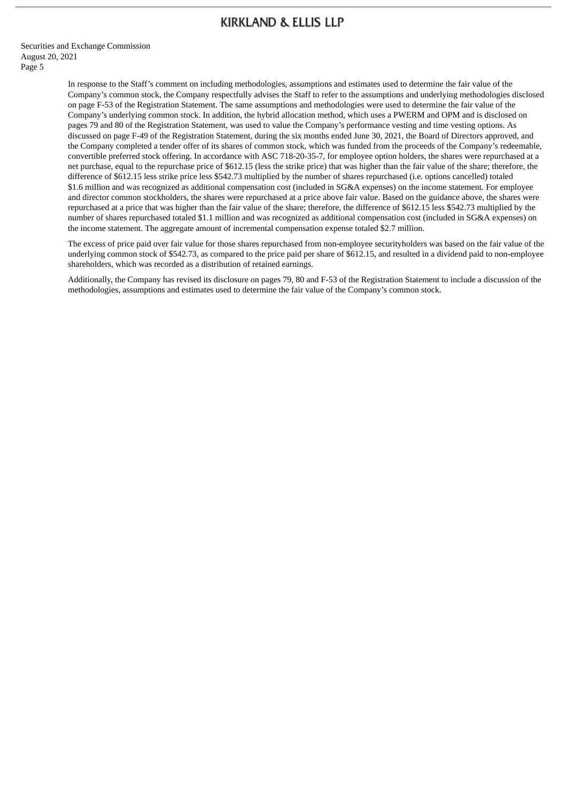Securities and Exchange Commission August 20, 2021 Page 5

> In response to the Staff's comment on including methodologies, assumptions and estimates used to determine the fair value of the Company's common stock, the Company respectfully advises the Staff to refer to the assumptions and underlying methodologies disclosed on page F-53 of the Registration Statement. The same assumptions and methodologies were used to determine the fair value of the Company's underlying common stock. In addition, the hybrid allocation method, which uses a PWERM and OPM and is disclosed on pages 79 and 80 of the Registration Statement, was used to value the Company's performance vesting and time vesting options. As discussed on page F-49 of the Registration Statement, during the six months ended June 30, 2021, the Board of Directors approved, and the Company completed a tender offer of its shares of common stock, which was funded from the proceeds of the Company's redeemable, convertible preferred stock offering. In accordance with ASC 718-20-35-7, for employee option holders, the shares were repurchased at a net purchase, equal to the repurchase price of \$612.15 (less the strike price) that was higher than the fair value of the share; therefore, the difference of \$612.15 less strike price less \$542.73 multiplied by the number of shares repurchased (i.e. options cancelled) totaled \$1.6 million and was recognized as additional compensation cost (included in SG&A expenses) on the income statement. For employee and director common stockholders, the shares were repurchased at a price above fair value. Based on the guidance above, the shares were repurchased at a price that was higher than the fair value of the share; therefore, the difference of \$612.15 less \$542.73 multiplied by the number of shares repurchased totaled \$1.1 million and was recognized as additional compensation cost (included in SG&A expenses) on the income statement. The aggregate amount of incremental compensation expense totaled \$2.7 million.

> The excess of price paid over fair value for those shares repurchased from non-employee securityholders was based on the fair value of the underlying common stock of \$542.73, as compared to the price paid per share of \$612.15, and resulted in a dividend paid to non-employee shareholders, which was recorded as a distribution of retained earnings.

> Additionally, the Company has revised its disclosure on pages 79, 80 and F-53 of the Registration Statement to include a discussion of the methodologies, assumptions and estimates used to determine the fair value of the Company's common stock.